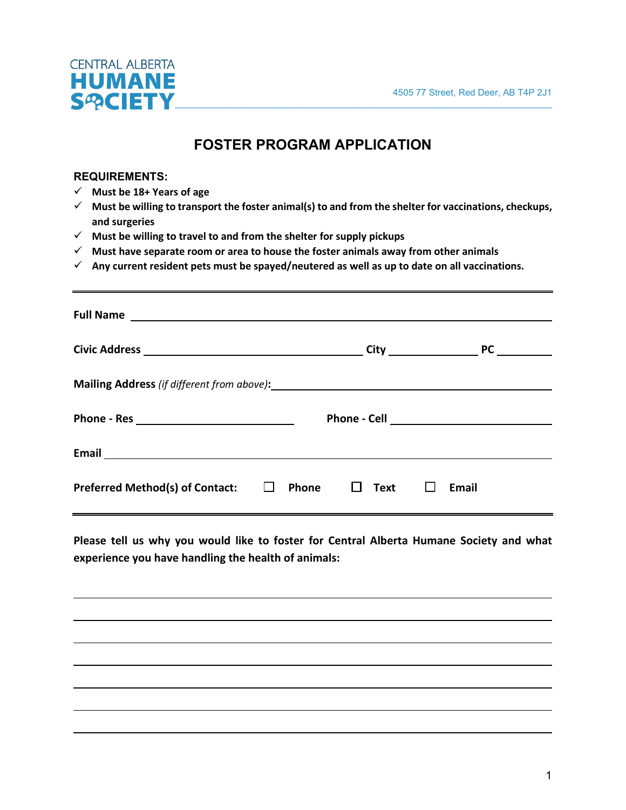

## **FOSTER PROGRAM APPLICATION**

#### **REQUIREMENTS:**

- **Must be 18+ Years of age**
- **Must be willing to transport the foster animal(s) to and from the shelter for vaccinations, checkups, and surgeries**
- **Must be willing to travel to and from the shelter for supply pickups**
- **Must have separate room or area to house the foster animals away from other animals**
- **Any current resident pets must be spayed/neutered as well as up to date on all vaccinations.**

| <b>Preferred Method(s) of Contact:</b> | $\Box$ Text $\Box$<br>$\Box$ Phone | Email |
|----------------------------------------|------------------------------------|-------|

**Please tell us why you would like to foster for Central Alberta Humane Society and what experience you have handling the health of animals:**